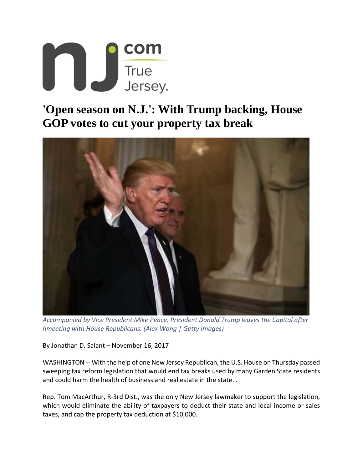

## **'Open season on N.J.': With Trump backing, House GOP votes to cut your property tax break**



*Accompanied by Vice President Mike Pence, President Donald Trump leaves the Capitol after hmeeting with House Republicans. (Alex Wong | Getty Images)*

By Jonathan D. Salant – November 16, 2017

WASHINGTON -- With the help of one New Jersey Republican, the U.S. House on Thursday passed sweeping tax reform legislation that would end tax breaks used by many Garden State residents and could harm the health of business and real estate in the state..

Rep. Tom MacArthur, R‐3rd Dist., was the only New Jersey lawmaker to support the legislation, which would eliminate the ability of taxpayers to deduct their state and local income or sales taxes, and cap the property tax deduction at \$10,000.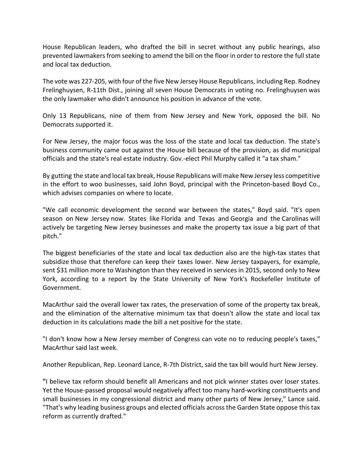House Republican leaders, who drafted the bill in secret without any public hearings, also prevented lawmakers from seeking to amend the bill on the floor in order to restore the full state and local tax deduction.

The vote was 227‐205, with four of the five New Jersey House Republicans, including Rep. Rodney Frelinghuysen, R‐11th Dist., joining all seven House Democrats in voting no. Frelinghuysen was the only lawmaker who didn't announce his position in advance of the vote.

Only 13 Republicans, nine of them from New Jersey and New York, opposed the bill. No Democrats supported it.

For New Jersey, the major focus was the loss of the state and local tax deduction. The state's business community came out against the House bill because of the provision, as did municipal officials and the state's real estate industry. Gov.‐elect Phil Murphy called it "a tax sham."

By gutting the state and local tax break, House Republicans will make New Jersey less competitive in the effort to woo businesses, said John Boyd, principal with the Princeton‐based Boyd Co., which advises companies on where to locate.

"We call economic development the second war between the states," Boyd said. "It's open season on New Jersey now. States like Florida and Texas and Georgia and the Carolinas will actively be targeting New Jersey businesses and make the property tax issue a big part of that pitch."

The biggest beneficiaries of the state and local tax deduction also are the high-tax states that subsidize those that therefore can keep their taxes lower. New Jersey taxpayers, for example, sent \$31 million more to Washington than they received in services in 2015, second only to New York, according to a report by the State University of New York's Rockefeller Institute of Government.

MacArthur said the overall lower tax rates, the preservation of some of the property tax break, and the elimination of the alternative minimum tax that doesn't allow the state and local tax deduction in its calculations made the bill a net positive for the state.

"I don't know how a New Jersey member of Congress can vote no to reducing people's taxes," MacArthur said last week.

Another Republican, Rep. Leonard Lance, R‐7th District, said the tax bill would hurt New Jersey.

**"**I believe tax reform should benefit all Americans and not pick winner states over loser states. Yet the House‐passed proposal would negatively affect too many hard‐working constituents and small businesses in my congressional district and many other parts of New Jersey," Lance said. "That's why leading business groups and elected officials across the Garden State oppose this tax reform as currently drafted."